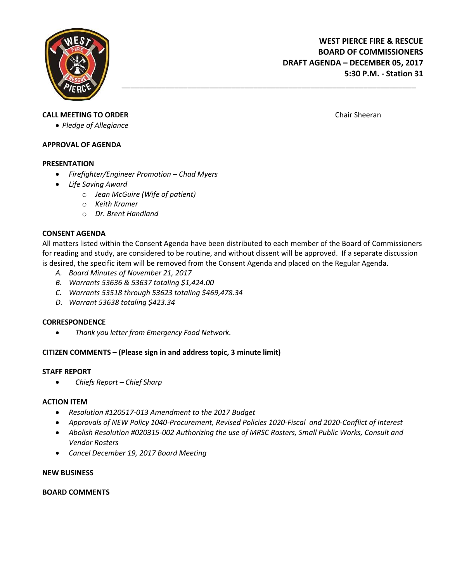

# **CALL MEETING TO ORDER** CHAIR CHAIR SHEER CHAIR SHEERAN CHAIR SHEERAN CHAIR SHEERAN CHAIR SHEERAN CHAIR SHEERAN CHAIR SHEERAN SHEERAN SHEERAN SHEERAN SHEERAN SHEERAN SHEERAN SHEERAN SHEERAN SHEERAN SHEERAN SHEERAN SHEERAN

*Pledge of Allegiance*

## **APPROVAL OF AGENDA**

#### **PRESENTATION**

- *Firefighter/Engineer Promotion – Chad Myers*
- *Life Saving Award*
	- o *Jean McGuire (Wife of patient)*
	- o *Keith Kramer*
	- o *Dr. Brent Handland*

## **CONSENT AGENDA**

All matters listed within the Consent Agenda have been distributed to each member of the Board of Commissioners for reading and study, are considered to be routine, and without dissent will be approved. If a separate discussion is desired, the specific item will be removed from the Consent Agenda and placed on the Regular Agenda.

\_\_\_\_\_\_\_\_\_\_\_\_\_\_\_\_\_\_\_\_\_\_\_\_\_\_\_\_\_\_\_\_\_\_\_\_\_\_\_\_\_\_\_\_\_\_\_\_\_\_\_\_\_\_\_\_\_\_\_\_\_\_\_\_\_\_\_

- *A. Board Minutes of November 21, 2017*
- *B. Warrants 53636 & 53637 totaling \$1,424.00*
- *C. Warrants 53518 through 53623 totaling \$469,478.34*
- *D. Warrant 53638 totaling \$423.34*

#### **CORRESPONDENCE**

*Thank you letter from Emergency Food Network.*

# **CITIZEN COMMENTS – (Please sign in and address topic, 3 minute limit)**

#### **STAFF REPORT**

*Chiefs Report – Chief Sharp* 

#### **ACTION ITEM**

- *Resolution #120517-013 Amendment to the 2017 Budget*
- *Approvals of NEW Policy 1040-Procurement, Revised Policies 1020-Fiscal and 2020-Conflict of Interest*
- *Abolish Resolution #020315-002 Authorizing the use of MRSC Rosters, Small Public Works, Consult and Vendor Rosters*
- *Cancel December 19, 2017 Board Meeting*

#### **NEW BUSINESS**

#### **BOARD COMMENTS**